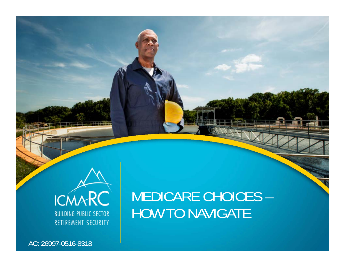

AC: 26997-0516-8318

### MEDICARE CHOICES – HOW TO NAVIGATE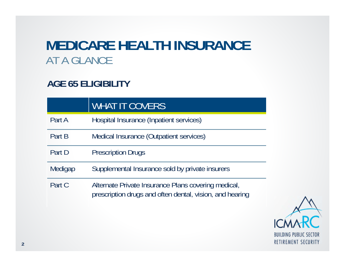### **MEDICARE HEALTH INSURANCE** AT A GLANCE

### **AGE 65 ELIGIBILITY**

|         | <b>WHAT IT COVERS</b>                                                                                           |
|---------|-----------------------------------------------------------------------------------------------------------------|
| Part A  | Hospital Insurance (Inpatient services)                                                                         |
| Part B  | Medical Insurance (Outpatient services)                                                                         |
| Part D  | <b>Prescription Drugs</b>                                                                                       |
| Medigap | Supplemental Insurance sold by private insurers                                                                 |
| Part C  | Alternate Private Insurance Plans covering medical,<br>prescription drugs and often dental, vision, and hearing |

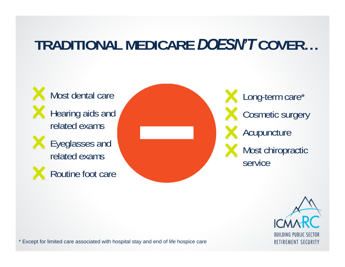### **TRADITIONAL MEDICARE** *DOESN'T* **COVER…**





\* Except for limited care associated with hospital stay and end of life hospice care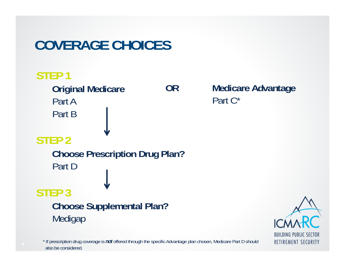### **COVERAGE CHOICES**



\* If prescription drug coverage is *not* offered through the specific Advantage plan chosen, Medicare Part D should also be considered.

**Medicare Advantage** Part C\*

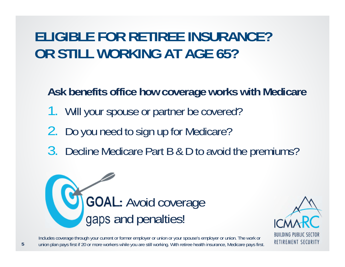### **ELIGIBLE FOR RETIREE INSURANCE?OR STILL WORKING AT AGE 65?**

**Ask benefits office how coverage works with Medicare** 

- 1. Will your spouse or partner be covered?
- 2.Do you need to sign up for Medicare?
- 3. Decline Medicare Part B & D to avoid the premiums?





Includes coverage through your current or former employer or union or your spouse's employer or union. The work or union plan pays first if 20 or more workers while you are still working. With retiree health insurance, Medicare pays first.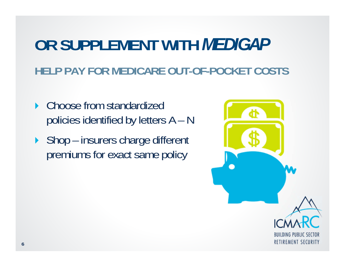# **OR SUPPLEMENT WITH** *MEDIGAP* **HELP PAY FOR MEDICARE OUT-OF-POCKET COSTS**

- ▶ Choose from standardized policies identified by letters A – N
- ▶ Shop insurers charge different premiums for exact same policy

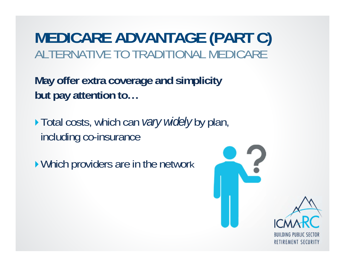**MEDICARE ADVANTAGE (PART C)**  ALTERNATIVE TO TRADITIONAL MEDICARE

**May offer extra coverage and simplicity but pay attention to…**

Total costs, which can *vary widely* by plan, including co-insurance

▶ Which providers are in the network

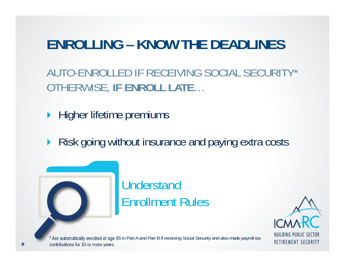### **ENROLLING – KNOW THE DEADLINES**

AUTO-ENROLLED IF RECEIVING SOCIAL SECURITY\*OTHERWISE, **IF ENROLL LATE** …

 $\blacktriangleright$ Higher lifetime premiums

▶ Risk going without insurance and paying extra costs



### **Understand** Enrollment Rules



\* Are automatically enrolled at age 65 in Part A and Part B if receiving Social Security and also made payroll tax contributions for 10 or more years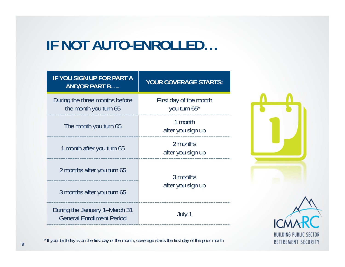### **IF NOT AUTO-ENROLLED…**

| <b>IF YOU SIGN UP FOR PART A</b><br><b>AND/OR PART B</b>          | <b>YOUR COVERAGE STARTS:</b>           |
|-------------------------------------------------------------------|----------------------------------------|
| During the three months before<br>the month you turn 65           | First day of the month<br>you turn 65* |
| The month you turn 65                                             | 1 month<br>after you sign up           |
| 1 month after you turn 65                                         | 2 months<br>after you sign up          |
| 2 months after you turn 65                                        | 3 months<br>after you sign up          |
| 3 months after you turn 65                                        |                                        |
| During the January 1–March 31<br><b>General Enrollment Period</b> | July 1                                 |



\* If your birthday is on the first day of the month, coverage starts the first day of the prior month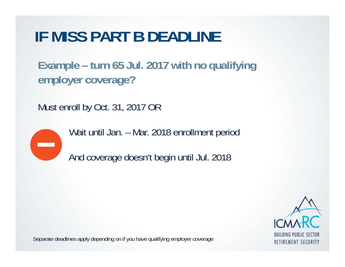# **IF MISS PART B DEADLINE**

**Example – turn 65 Jul. 2017 with no qualifying employer coverage?**

Must enroll by Oct. 31, 2017 OR



Wait until Jan. – Mar. 2018 enrollment period

And coverage doesn't begin until Jul. 2018



Separate deadlines apply depending on if you have qualifying employer coverage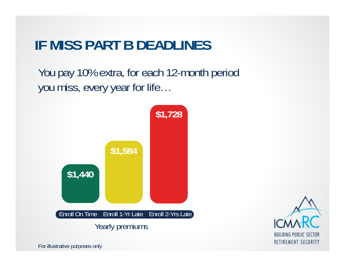### **IF MISS PART B DEADLINES**

You pay 10% extra, for each 12-month period you miss, every year for life…





For illustrative purposes only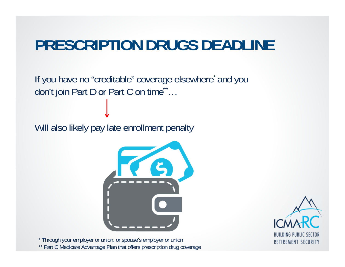# **PRESCRIPTION DRUGS DEADLINE**

If you have no "creditable" coverage elsewhere\* and you don't join Part D or Part C on time\*\* …

Will also likely pay late enrollment penalty



\* Through your employer or union, or spouse's employer or union \*\* Part C Medicare Advantage Plan that offers prescription drug coverage

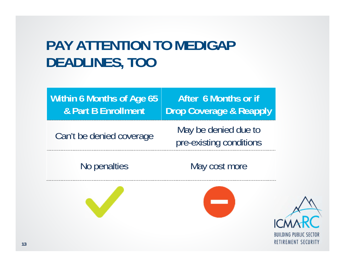### **PAY ATTENTION TO MEDIGAPDEADLINES, TOO**

**Within 6 Months of Age 65 & Part B EnrollmentAfter 6 Months or ifDrop Coverage & Reapply** Can't be denied coverage May be denied due to<br>pre-existing conditions

No penalties May cost more



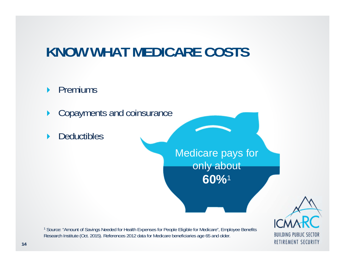## **KNOW WHAT MEDICARE COSTS**

#### $\blacktriangleright$ Premiums

- $\blacktriangleright$ Copayments and coinsurance
- $\blacktriangleright$ **Deductibles**

Medicare pays for only about **60%**<sup>1</sup>

<sup>1</sup> Source: "Amount of Savings Needed for Health Expenses for People Eligible for Medicare", Employee Benefits Research Institute (Oct. 2015). References 2012 data for Medicare beneficiaries age 65 and older.

**BUILDING PUBLIC SECTOR RETIREMENT SECURITY**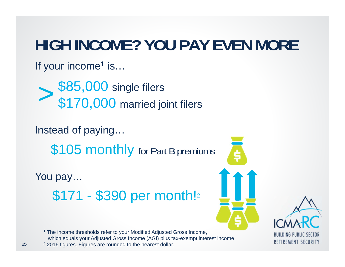# **HIGH INCOME? YOU PAY EVEN MORE**

If your income<sup>1</sup> is...

\$85,000 single filers \$170,000 married joint filers >

Instead of paying…

\$105 monthly for Part B premiums

You pay… \$171 - \$390 per month! 2

<sup>1</sup> The income thresholds refer to your Modified Adjusted Gross Income, which equals your Adjusted Gross Income (AGI) plus tax-exempt interest income  $2$  2016 figures. Figures are rounded to the nearest dollar.



**BUILDING PUBLIC SECTOR RETIREMENT SECURITY**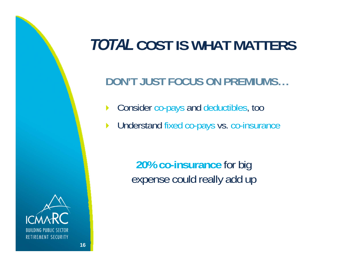## *TOTAL* **COST IS WHAT MATTERS**

### **DON'T JUST FOCUS ON PREMIUMS…**

- $\blacktriangleright$ Consider co-pays and deductibles, too
- $\blacktriangleright$ Understand fixed co-pays vs. co-insurance

**20% co-insurance** for big expense could really add up

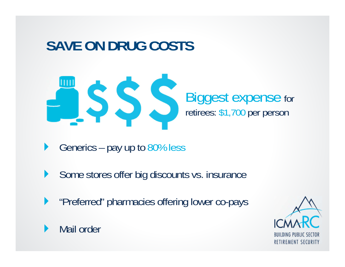## **SAVE ON DRUG COSTS**



- $\blacktriangleright$ Generics – pay up to 80% less
- $\blacktriangleright$ Some stores offer big discounts vs. insurance
- $\blacktriangleright$ "Preferred" pharmacies offering lower co-pays



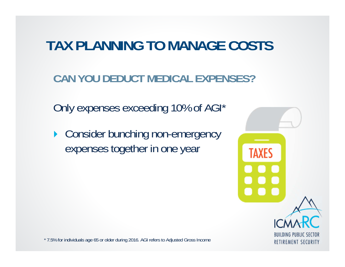### **TAX PLANNING TO MANAGE COSTS**

**CAN YOU DEDUCT MEDICAL EXPENSES?**

Only expenses exceeding 10% of AGI\*

▶ Consider bunching non-emergency expenses together in one year



\* 7.5% for individuals age 65 or older during 2016. AGI refers to Adjusted Gross Income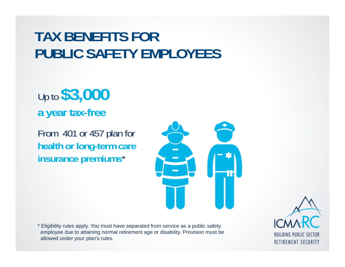### **TAX BENEFITS FOR PUBLIC SAFETY EMPLOYEES**

Up to **\$3,000 a year tax-free**

From 401 or 457 plan for **health or long-term care insurance premiums** \*

\* Eligibility rules apply. You must have separated from service as a public safety employee due to attaining normal retirement age or disability. Provision must be allowed under your plan's rules.

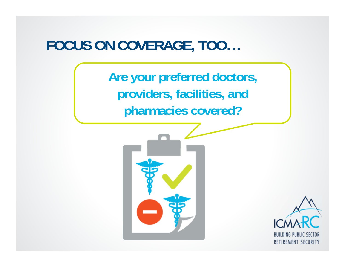### **FOCUS ON COVERAGE, TOO…**

**Are your preferred doctors, providers, facilities, and pharmacies covered?**



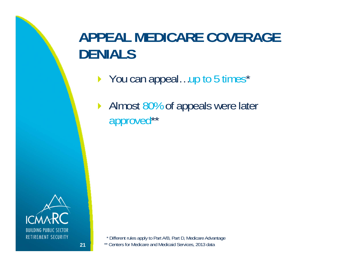## **APPEAL MEDICARE COVERAGE DENIALS**

- ▶ You can appeal...up to 5 times\*
- Almost 80% of appeals were later approved\*\*



**21**

\* Different rules apply to Part A/B, Part D, Medicare Advantage \*\* Centers for Medicare and Medicaid Services, 2013 data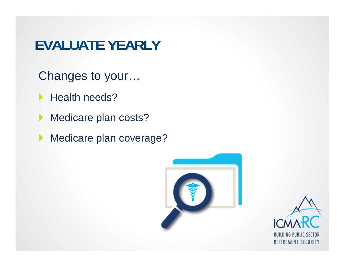### **EVALUATE YEARLY**

- Changes to your…
- ▶ Health needs?
- Medicare plan costs?
- Medicare plan coverage?



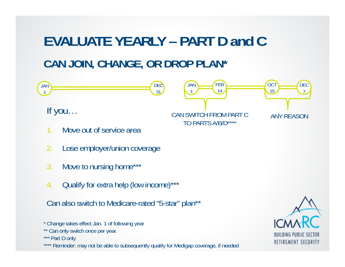# **EVALUATE YEARLY – PART D and CCAN JOIN, CHANGE, OR DROP PLAN\***



- \* Change takes effect Jan. 1 of following year
- \*\* Can only switch once per year.

\*\*\* Part D only

\*\*\*\* Reminder: may not be able to subsequently qualify for Medigap coverage, if needed